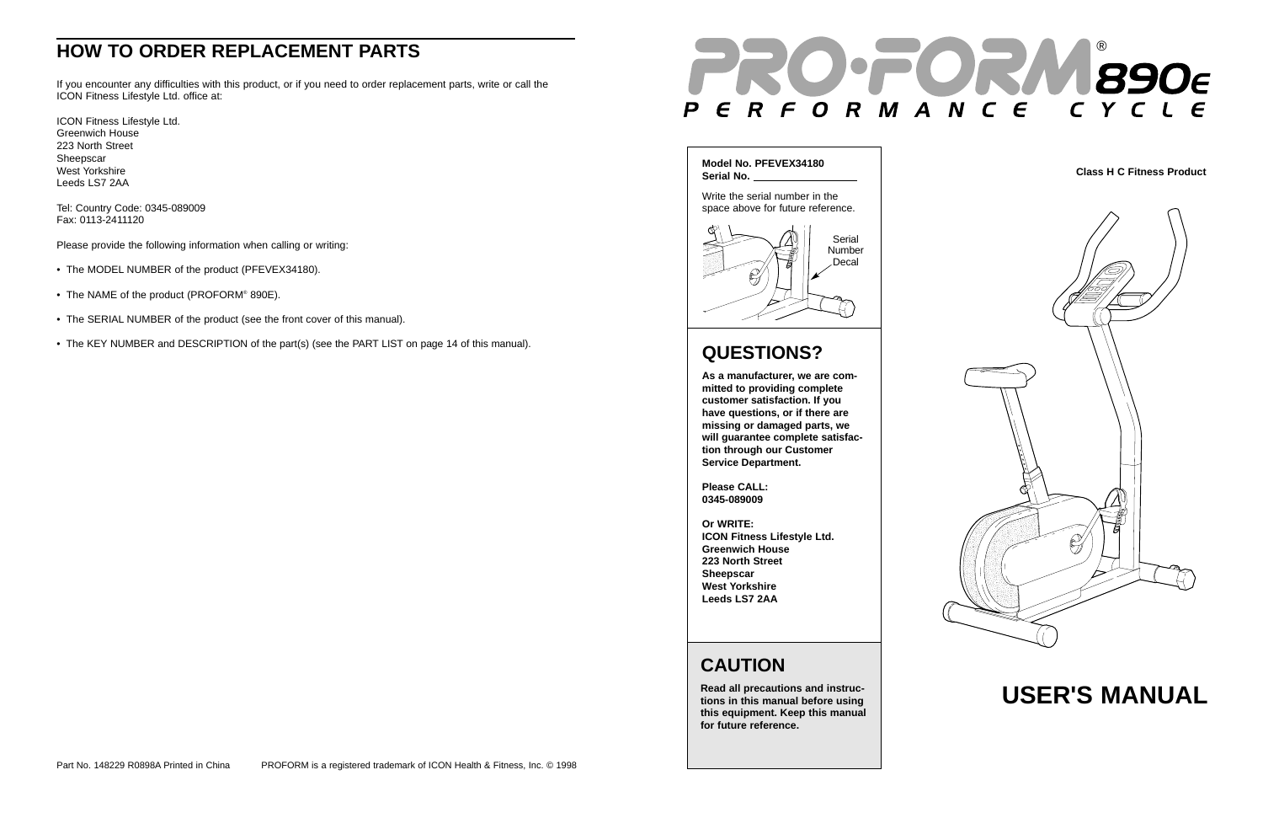# **USER'S MANUAL**

## **CAUTION**

**Read all precautions and instructions in this manual before using this equipment. Keep this manual for future reference.**

## **HOW TO ORDER REPLACEMENT PARTS**



If you encounter any difficulties with this product, or if you need to order replacement parts, write or call the ICON Fitness Lifestyle Ltd. office at:

- The MODEL NUMBER of the product (PFEVEX34180).
- The NAME of the product (PROFORM® 890E).
- The SERIAL NUMBER of the product (see the front cover of this manual).
- The KEY NUMBER and DESCRIPTION of the part(s) (see the PART LIST on page 14 of this manual).

ICON Fitness Lifestyle Ltd. Greenwich House 223 North Street Sheepscar West Yorkshire Leeds LS7 2AA

Tel: Country Code: 0345-089009 Fax: 0113-2411120

Please provide the following information when calling or writing:

# **QUESTIONS?**

**As a manufacturer, we are com mitted to providing complete customer satisfaction. If you have questions, or if there are missing or damaged parts, we will guarantee complete satisfac tion through our Customer Service Department. Please CALL:**

**0345-089009**

#### **Or WRITE:**

**ICON Fitness Lifestyle Ltd. Greenwich House 223 North Street Sheepscar West Yorkshire**



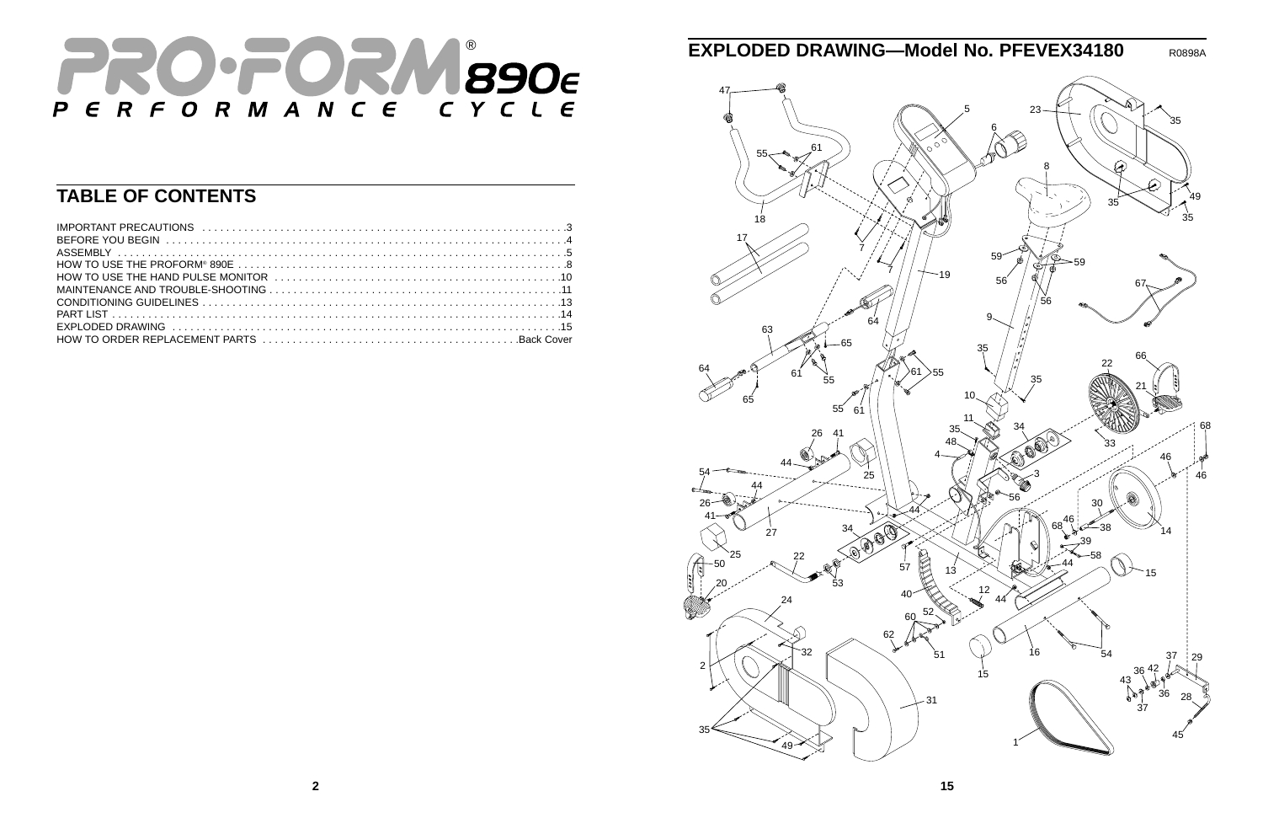

## **TABLE OF CONTENTS**

| HOW TO USE THE HAND PULSE MONITOR (intervaluation) to the control of the HOW TO USE THE HAND PULSE MONITOR |  |
|------------------------------------------------------------------------------------------------------------|--|
|                                                                                                            |  |
|                                                                                                            |  |
|                                                                                                            |  |
|                                                                                                            |  |
|                                                                                                            |  |



## **EXPLODED DRAWING—Model No. PFEVEX34180** R0898A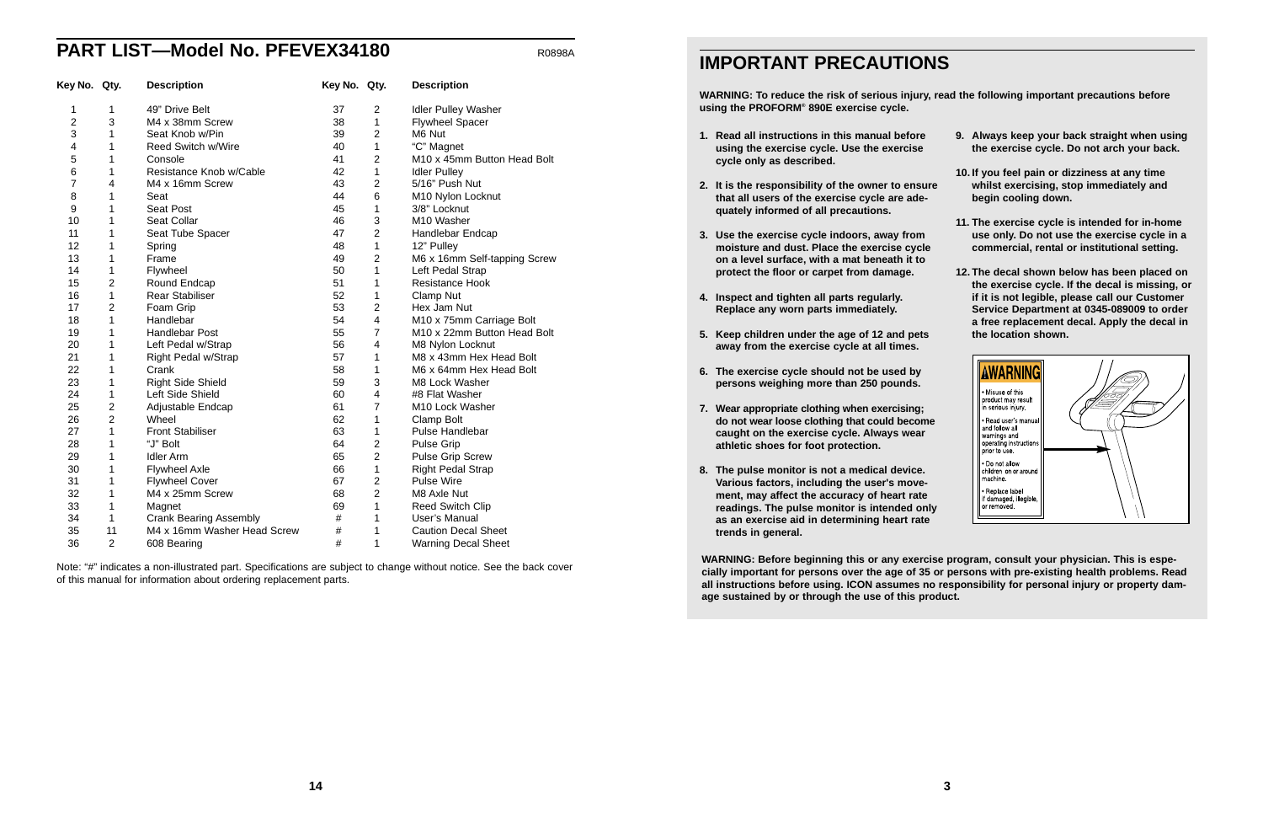### **PART LIST—Model No. PFEVEX34180** ROBBBA

| Key No. Qty.   |                | <b>Description</b>            | Key No. Qty. |                | <b>Description</b>           |
|----------------|----------------|-------------------------------|--------------|----------------|------------------------------|
| 1              | 1              | 49" Drive Belt                | 37           | $\overline{c}$ | <b>Idler Pulley Washer</b>   |
| $\overline{c}$ | 3              | M4 x 38mm Screw               | 38           | 1              | <b>Flywheel Spacer</b>       |
| 3              | 1              | Seat Knob w/Pin               | 39           | $\overline{2}$ | M6 Nut                       |
| 4              | 1              | <b>Reed Switch w/Wire</b>     | 40           | 1              | "C" Magnet                   |
| 5              | 1              | Console                       | 41           | $\overline{2}$ | M10 x 45mm Button Head Bolt  |
| 6              | 1              | Resistance Knob w/Cable       | 42           | $\mathbf{1}$   | <b>Idler Pulley</b>          |
| 7              | 4              | M4 x 16mm Screw               | 43           | $\overline{2}$ | 5/16" Push Nut               |
| 8              | 1              | Seat                          | 44           | 6              | M10 Nylon Locknut            |
| 9              | 1              | Seat Post                     | 45           | 1              | 3/8" Locknut                 |
| 10             | 1              | Seat Collar                   | 46           | 3              | M10 Washer                   |
| 11             | 1              | Seat Tube Spacer              | 47           | $\overline{2}$ | Handlebar Endcap             |
| 12             | 1              | Spring                        | 48           | $\mathbf{1}$   | 12" Pulley                   |
| 13             | 1              | Frame                         | 49           | $\overline{2}$ | M6 x 16mm Self-tapping Screw |
| 14             | 1              | Flywheel                      | 50           | 1              | Left Pedal Strap             |
| 15             | $\overline{2}$ | Round Endcap                  | 51           | 1              | <b>Resistance Hook</b>       |
| 16             | $\mathbf{1}$   | <b>Rear Stabiliser</b>        | 52           | 1              | Clamp Nut                    |
| 17             | $\overline{2}$ | Foam Grip                     | 53           | $\overline{2}$ | Hex Jam Nut                  |
| 18             | 1              | Handlebar                     | 54           | 4              | M10 x 75mm Carriage Bolt     |
| 19             | 1              | <b>Handlebar Post</b>         | 55           | $\overline{7}$ | M10 x 22mm Button Head Bolt  |
| 20             | 1              | Left Pedal w/Strap            | 56           | 4              | M8 Nylon Locknut             |
| 21             | 1              | Right Pedal w/Strap           | 57           | 1              | M8 x 43mm Hex Head Bolt      |
| 22             | 1              | Crank                         | 58           | 1              | M6 x 64mm Hex Head Bolt      |
| 23             | 1              | <b>Right Side Shield</b>      | 59           | 3              | M8 Lock Washer               |
| 24             | 1              | Left Side Shield              | 60           | 4              | #8 Flat Washer               |
| 25             | $\overline{2}$ | Adjustable Endcap             | 61           | $\overline{7}$ | M10 Lock Washer              |
| 26             | $\overline{2}$ | Wheel                         | 62           | $\mathbf{1}$   | Clamp Bolt                   |
| 27             | 1              | <b>Front Stabiliser</b>       | 63           | 1              | <b>Pulse Handlebar</b>       |
| 28             | 1              | "J" Bolt                      | 64           | $\overline{2}$ | <b>Pulse Grip</b>            |
| 29             | 1              | <b>Idler Arm</b>              | 65           | $\overline{c}$ | <b>Pulse Grip Screw</b>      |
| 30             | 1              | <b>Flywheel Axle</b>          | 66           | 1              | <b>Right Pedal Strap</b>     |
| 31             | 1              | <b>Flywheel Cover</b>         | 67           | $\overline{c}$ | <b>Pulse Wire</b>            |
| 32             | 1              | M4 x 25mm Screw               | 68           | $\overline{2}$ | M8 Axle Nut                  |
| 33             | 1              | Magnet                        | 69           | 1              | Reed Switch Clip             |
| 34             | 1              | <b>Crank Bearing Assembly</b> | $\#$         | 1              | User's Manual                |
| 35             | 11             | M4 x 16mm Washer Head Screw   | $\#$         | 1              | <b>Caution Decal Sheet</b>   |
| 36             | 2              | 608 Bearing                   | #            | 1              | <b>Warning Decal Sheet</b>   |

Note: "#" indicates a non-illustrated part. Specifications are subject to change without notice. See the back cover of this manual for information about ordering replacement parts.

### **IMPORTANT PRECAUTIONS**

### **WARNING: To reduce the risk of serious injury, read the following important precautions before**

**using the PROFORM® 890E exercise cycle.**

- **1. Read all instructions in this manual before using the exercise cycle. Use the exercise cycle only as described.**
- **2. It is the responsibility of the owner to ensure that all users of the exercise cycle are adequately informed of all precautions.**
- **3. Use the exercise cycle indoors, away from moisture and dust. Place the exercise cycle on a level surface, with a mat beneath it to protect the floor or carpet from damage.**
- **4. Inspect and tighten all parts regularly. Replace any worn parts immediately.**
- **5. Keep children under the age of 12 and pets away from the exercise cycle at all times.**
- **6. The exercise cycle should not be used by persons weighing more than 250 pounds.**
- **7. Wear appropriate clothing when exercising; do not wear loose clothing that could become caught on the exercise cycle. Always wear athletic shoes for foot protection.**
- **8. The pulse monitor is not a medical device. Various factors, including the user's movement, may affect the accuracy of heart rate readings. The pulse monitor is intended only as an exercise aid in determining heart rate trends in general.**
- **9. Always keep your back straight when using the exercise cycle. Do not arch your back.**
- **10. If you feel pain or dizziness at any time whilst exercising, stop immediately and begin cooling down.**
- **11. The exercise cycle is intended for in-home use only. Do not use the exercise cycle in a commercial, rental or institutional setting.**
- **12. The decal shown below has been placed on the exercise cycle. If the decal is missing, or if it is not legible, please call our Customer Service Department at 0345-089009 to order a free replacement decal. Apply the decal in the location shown.**



**WARNING: Before beginning this or any exercise program, consult your physician. This is especially important for persons over the age of 35 or persons with pre-existing health problems. Read all instructions before using. ICON assumes no responsibility for personal injury or property damage sustained by or through the use of this product.**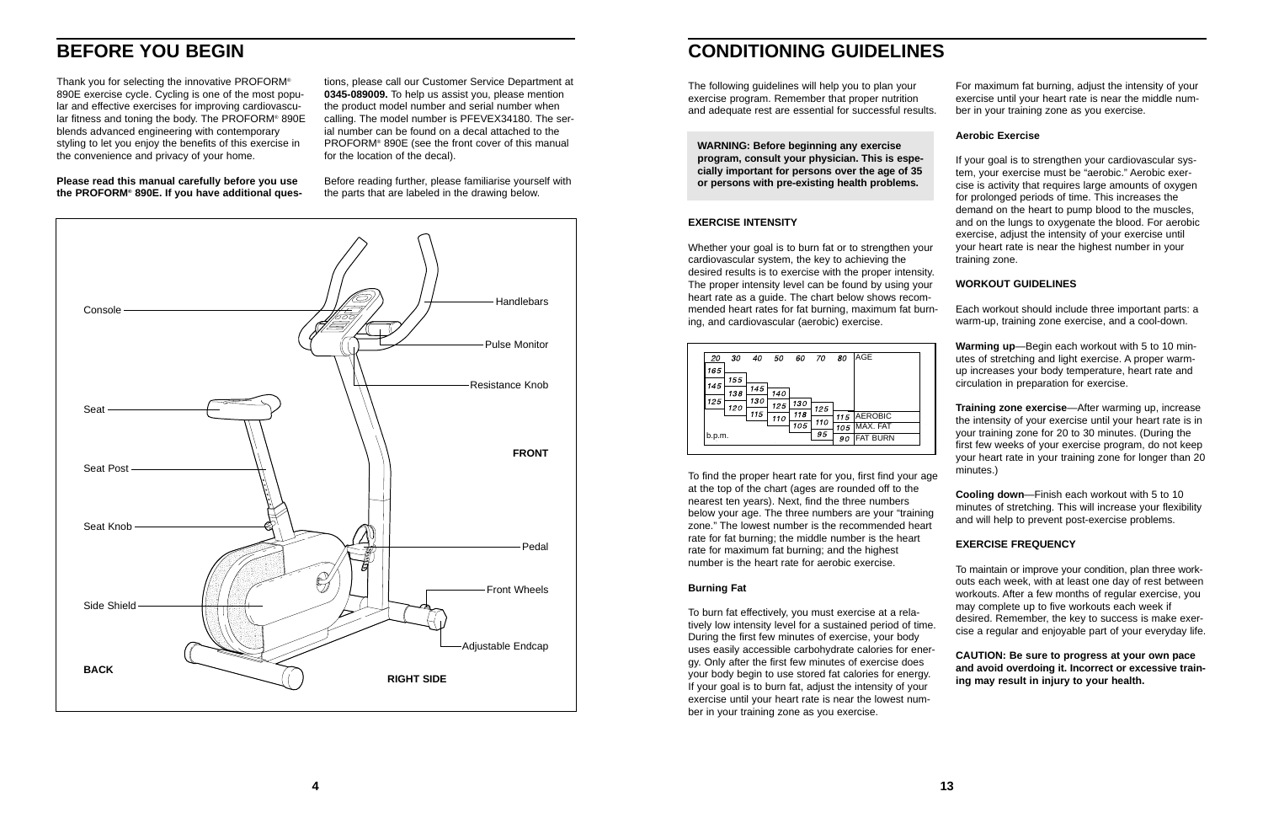## **BEFORE YOU BEGIN**

Thank you for selecting the innovative PROFORM® 890E exercise cycle. Cycling is one of the most popular and effective exercises for improving cardiovascular fitness and toning the body. The PROFORM® 890E blends advanced engineering with contemporary styling to let you enjoy the benefits of this exercise in the convenience and privacy of your home.

**Please read this manual carefully before you use the PROFORM® 890E. If you have additional ques-**

tions, please call our Customer Service Department at **0345-089009.** To help us assist you, please mention the product model number and serial number when calling. The model number is PFEVEX34180. The ser ial number can be found on a decal attached to the PROFORM® 890E (see the front cover of this manual for the location of the decal).

Before reading further, please familiarise yourself with the parts that are labeled in the drawing below.



### **CONDITIONING GUIDELINES**

### **EXERCISE INTENSITY**

To find the proper heart rate for you, first find your age at the top of the chart (ages are rounded off to the nearest ten years). Next, find the three numbers below your age. The three numbers are your "training zone." The lowest number is the recommended heart rate for fat burning; the middle number is the heart rate for maximum fat burning; and the highest number is the heart rate for aerobic exercise.

The following guidelines will help you to plan your exercise program. Remember that proper nutrition and adequate rest are essential for successful results. For maximum fat burning, adjust the intensity of your exercise until your heart rate is near the middle number in your training zone as you exercise.

### **Burning Fat**

Whether your goal is to burn fat or to strengthen your cardiovascular system, the key to achieving the desired results is to exercise with the proper intensity. The proper intensity level can be found by using your heart rate as a quide. The chart below shows recommended heart rates for fat burning, maximum fat burning, and cardiovascular (aerobic) exercise. your heart rate is near the highest number in your training zone. **WORKOUT GUIDELINES** Each workout should include three important parts: a warm-up, training zone exercise, and a cool-down.

### **Aerobic Exercise**

If your goal is to strengthen your cardiovascular system, your exercise must be "aerobic." Aerobic exercise is activity that requires large amounts of oxygen for prolonged periods of time. This increases the demand on the heart to pump blood to the muscles, and on the lungs to oxygenate the blood. For aerobic exercise, adjust the intensity of your exercise until

To burn fat effectively, you must exercise at a relatively low intensity level for a sustained period of time. During the first few minutes of exercise, your body uses easily accessible carbohydrate calories for energy. Only after the first few minutes of exercise does your body begin to use stored fat calories for energy. If your goal is to burn fat, adjust the intensity of your exercise until your heart rate is near the lowest number in your training zone as you exercise. desired. Remember, the key to success is make exercise a regular and enjoyable part of your everyday life. **CAUTION: Be sure to progress at your own pace and avoid overdoing it. Incorrect or excessive training may result in injury to your health.**

**Warming up**—Begin each workout with 5 to 10 minutes of stretching and light exercise. A proper warmup increases your body temperature, heart rate and circulation in preparation for exercise.

**Training zone exercise**—After warming up, increase the intensity of your exercise until your heart rate is in your training zone for 20 to 30 minutes. (During the first few weeks of your exercise program, do not keep your heart rate in your training zone for longer than 20 minutes.)

**Cooling down**—Finish each workout with 5 to 10 minutes of stretching. This will increase your flexibility and will help to prevent post-exercise problems.

### **EXERCISE FREQUENCY**

To maintain or improve your condition, plan three workouts each week, with at least one day of rest between workouts. After a few months of regular exercise, you may complete up to five workouts each week if

**WARNING: Before beginning any exercise program, consult your physician. This is especially important for persons over the age of 35 or persons with pre-existing health problems.**

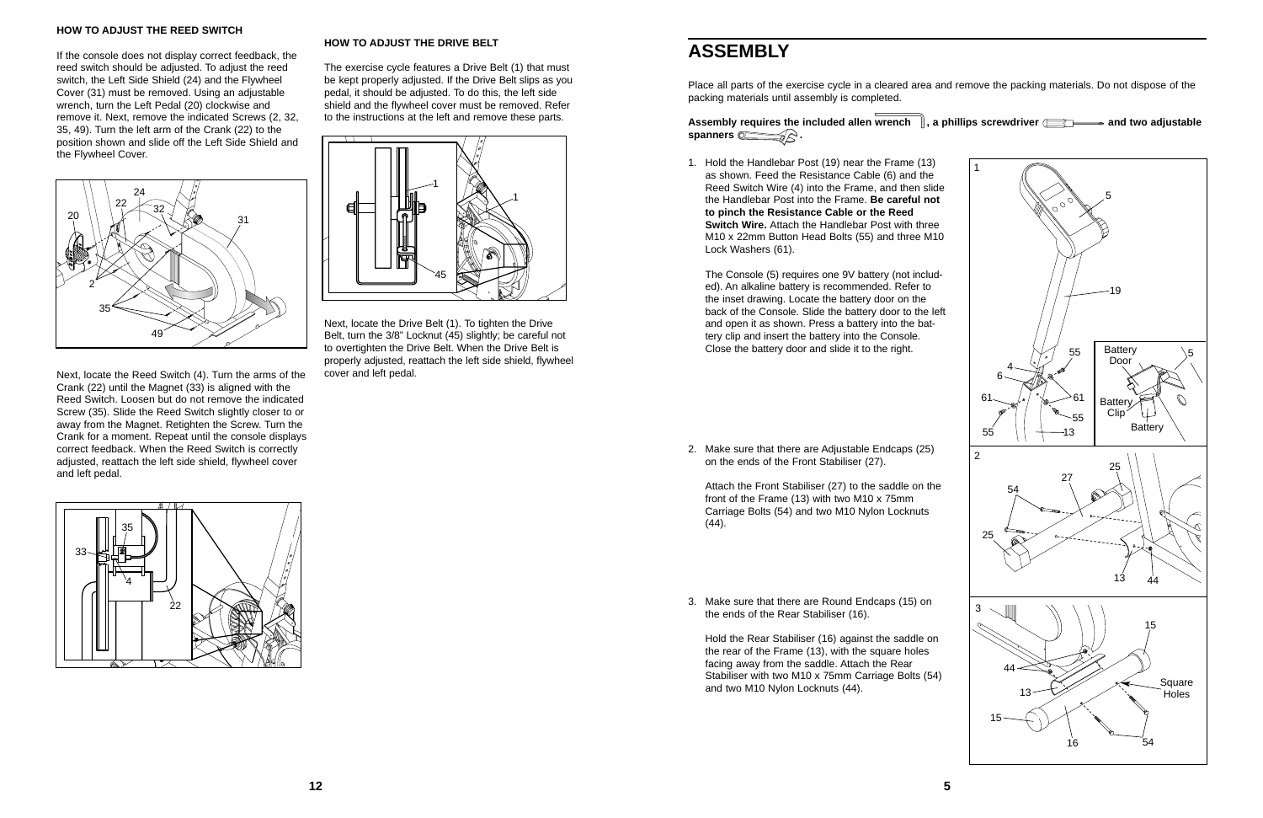Place all parts of the exercise cycle in a cleared area and remove the packing materials. Do not dispose of the packing materials until assembly is completed.

spanners **in the spanners** 

**5**

2. Make sure that there are Adjustable Endcaps (25) on the ends of the Front Stabiliser (27).

Attach the Front Stabiliser (27) to the saddle on the front of the Frame (13) with two M10 x 75mm Carriage Bolts (54) and two M10 Nylon Locknuts (44).

3. Make sure that there are Round Endcaps (15) on the ends of the Rear Stabiliser (16).

Hold the Rear Stabiliser (16) against the saddle on the rear of the Frame (13), with the square holes facing away from the saddle. Attach the Rear Stabiliser with two M10 x 75mm Carriage Bolts (54) and two M10 Nylon Locknuts (44).

## **ASSEMBLY**

#### **HOW TO ADJUST THE REED SWITCH**

If the console does not display correct feedback, the reed switch should be adjusted. To adjust the reed switch, the Left Side Shield (24) and the Flywheel Cover (31) must be removed. Using an adjustable wrench, turn the Left Pedal (20) clockwise and remove it. Next, remove the indicated Screws (2, 32, 35, 49). Turn the left arm of the Crank (22) to the position shown and slide off the Left Side Shield and the Flywheel Cover.

Next, locate the Reed Switch (4). Turn the arms of the Crank (22) until the Magnet (33) is aligned with the Reed Switch. Loosen but do not remove the indicated Screw (35). Slide the Reed Switch slightly closer to or away from the Magnet. Retighten the Screw. Turn the Crank for a moment. Repeat until the console displays correct feedback. When the Reed Switch is correctly adjusted, reattach the left side shield, flywheel cover and left pedal.

### **HOW TO ADJUST THE DRIVE BELT**

The exercise cycle features a Drive Belt (1) that must be kept properly adjusted. If the Drive Belt slips as you pedal, it should be adjusted. To do this, the left side shield and the flywheel cover must be removed. Refer to the instructions at the left and remove these parts.



### Assembly requires the included allen wrench  $\parallel$ , a phillips screwdriver  $\equiv$   $\rightarrow$  and two adjustable

Next, locate the Drive Belt (1). To tighten the Drive Belt, turn the 3/8" Locknut (45) slightly; be careful not to overtighten the Drive Belt. When the Drive Belt is properly adjusted, reattach the left side shield, flywheel cover and left pedal.







1. Hold the Handlebar Post (19) near the Frame (13) as shown. Feed the Resistance Cable (6) and the Reed Switch Wire (4) into the Frame, and then slide the Handlebar Post into the Frame. **Be careful not to pinch the Resistance Cable or the Reed Switch Wire.** Attach the Handlebar Post with three M10 x 22mm Button Head Bolts (55) and three M10 Lock Washers (61).

The Console (5) requires one 9V battery (not included). An alkaline battery is recommended. Refer to the inset drawing. Locate the battery door on the back of the Console. Slide the battery door to the left and open it as shown. Press a battery into the battery clip and insert the battery into the Console. Close the battery door and slide it to the right.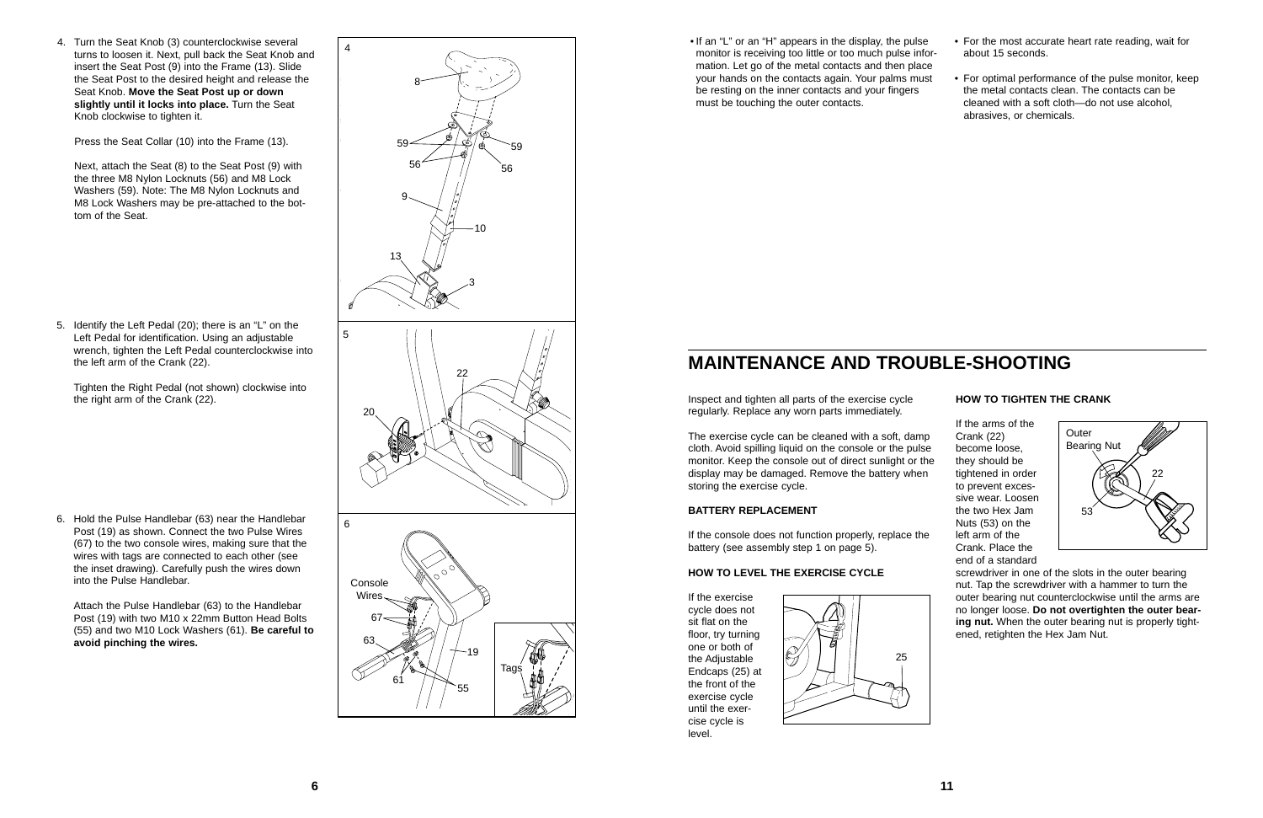Attach the Pulse Handlebar (63) to the Handlebar Post (19) with two M10 x 22mm Button Head Bolts (55) and two M10 Lock Washers (61). **Be careful to** avoid pinching the wires.

6. Hold the Pulse Handlebar (63) near the Handlebar Post (19) as shown. Connect the two Pulse Wires (67) to the two console wires, making sure that the wires with tags are connected to each other (see the inset drawing). Carefully push the wires down into the Pulse Handlebar.

5. Identify the Left Pedal (20); there is an "L" on the Left Pedal for identification. Using an adjustable wrench, tighten the Left Pedal counterclockwise into the left arm of the Crank (22).

Tighten the Right Pedal (not shown) clockwise into

regularly. Replace any worn parts immediately.

The exercise cycle can be cleaned with a soft, damp cloth. Avoid spilling liquid on the console or the pulse monitor. Keep the console out of direct sunlight or the display may be damaged. Remove the battery when storing the exercise cycle.

### **BATTERY REPLACEMENT**

If the console does not function properly, replace the battery (see assembly step 1 on page 5).

### **HOW TO LEVEL THE EXERCISE CYCLE**

If the exercise cycle does not sit flat on the floor, try turning one or both of the Adjustable Endcaps (25) at the front of the exercise cycle until the exercise cycle is level.

### **HOW TO TIGHTEN THE CRANK**

4. Turn the Seat Knob (3) counterclockwise several turns to loosen it. Next, pull back the Seat Knob and insert the Seat Post (9) into the Frame (13). Slide the Seat Post to the desired height and release the Seat Knob. **Move the Seat Post up or down slightly until it locks into place.** Turn the Seat Knob clockwise to tighten it.



If the arms of the Crank (22) become loose, they should be tightened in order to prevent excessive wear. Loosen the two Hex Jam Nuts (53) on the left arm of the Crank. Place the end of a standard

screwdriver in one of the slots in the outer bearing nut. Tap the screwdriver with a hammer to turn the outer bearing nut counterclockwise until the arms are no longer loose. **Do not overtighten the outer bearing nut.** When the outer bearing nut is properly tightened, retighten the Hex Jam Nut.

## **MAINTENANCE AND TROUBLE-SHOOTING**





• If an "L" or an "H" appears in the display, the pulse monitor is receiving too little or too much pulse information. Let go of the metal contacts and then place your hands on the contacts again. Your palms must be resting on the inner contacts and your fingers must be touching the outer contacts. • For the most accurate heart rate reading, wait for about 15 seconds. • For optimal performance of the pulse monitor, keep the metal contacts clean. The contacts can be cleaned with a soft cloth—do not use alcohol, abrasives, or chemicals.

Press the Seat Collar (10) into the Frame (13).

Next, attach the Seat (8) to the Seat Post (9) with the three M8 Nylon Locknuts (56) and M8 Lock Washers (59). Note: The M8 Nylon Locknuts and M8 Lock Washers may be pre-attached to the bottom of the Seat.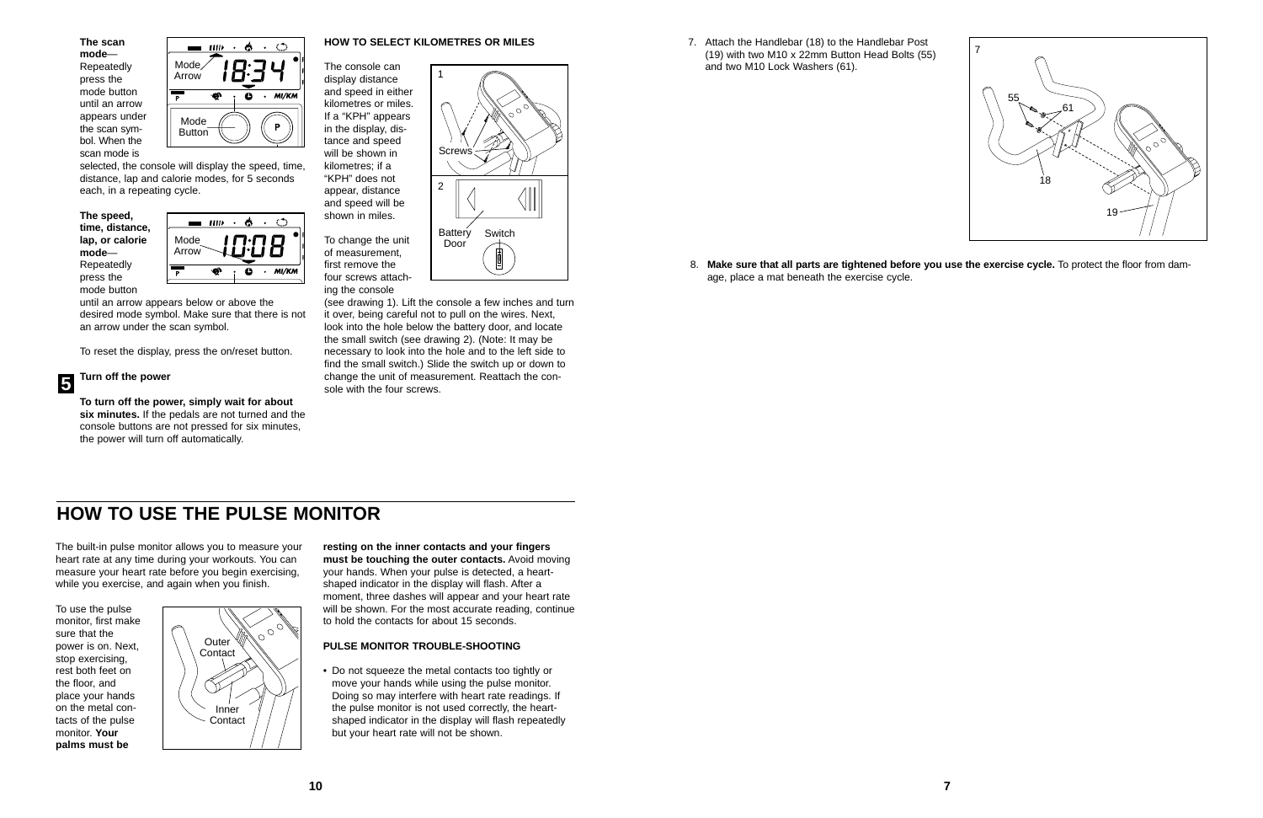**10 7**

**The scan mode**— Repeatedly press the mode button until an arrow appears under the scan symbol. When the scan mode is

selected, the console will display the speed, time, distance, lap and calorie modes, for 5 seconds each, in a repeating cycle.

**The speed, time, distance, lap, or calorie mode**— Repeatedly press the mode button

until an arrow appears below or above the desired mode symbol. Make sure that there is not an arrow under the scan symbol.

To reset the display, press the on/reset button.

### **Turn off the power**

(see drawing 1). Lift the console a few inches and turn it over, being careful not to pull on the wires. Next, look into the hole below the battery door, and locate the small switch (see drawing 2). (Note: It may be necessary to look into the hole and to the left side to find the small switch.) Slide the switch up or down to **F** Turn off the power<br> **6** Turn off the power<br> **6** sole with the four screws.

**To turn off the power, simply wait for about six minutes.** If the pedals are not turned and the console buttons are not pressed for six minutes, the power will turn off automatically.

### **HOW TO SELECT KILOMETRES OR MILES**

The console can display distance and speed in either kilometres or miles. If a "KPH" appears in the display, distance and speed will be shown in kilometres; if a "KPH" does not appear, distance and speed will be shown in miles.

To change the unit of measurement, first remove the four screws attaching the console





1

2

Door

**Screws** 

Battery Switch

圃

age, place a mat beneath the exercise cycle.



8. **Make sure that all parts are tightened before you use the exercise cycle.** To protect the floor from dam-

7. Attach the Handlebar (18) to the Handlebar Post (19) with two M10 x 22mm Button Head Bolts (55) and two M10 Lock Washers (61).

The built-in pulse monitor allows you to measure your heart rate at any time during your workouts. You can measure your heart rate before you begin exercising, while you exercise, and again when you finish.

To use the pulse monitor, first make sure that the power is on. Next, stop exercising, rest both feet on the floor, and place your hands on the metal contacts of the pulse monitor. **Your palms must be**

**resting on the inner contacts and your fingers must be touching the outer contacts.** Avoid moving your hands. When your pulse is detected, a heartshaped indicator in the display will flash. After a moment, three dashes will appear and your heart rate will be shown. For the most accurate reading, continue to hold the contacts for about 15 seconds.

#### **PULSE MONITOR TROUBLE-SHOOTING**

• Do not squeeze the metal contacts too tightly or move your hands while using the pulse monitor. Doing so may interfere with heart rate readings. If the pulse monitor is not used correctly, the heartshaped indicator in the display will flash repeatedly but your heart rate will not be shown.

### **HOW TO USE THE PULSE MONITOR**